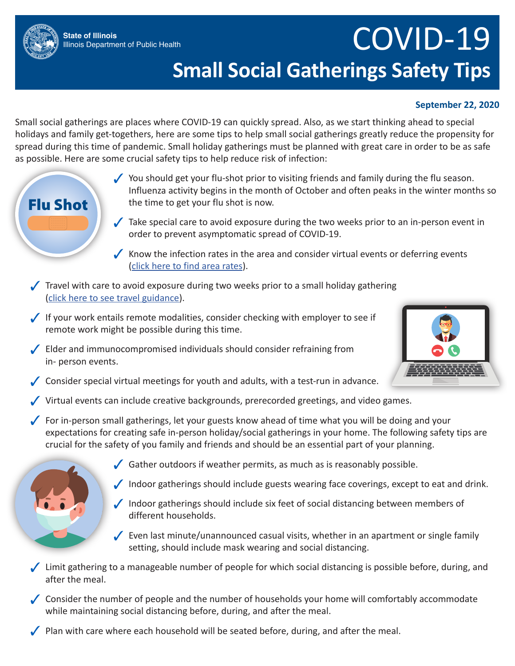

## COVID-19 **Small Social Gatherings Safety Tips**

## **September 22, 2020**

Small social gatherings are places where COVID-19 can quickly spread. Also, as we start thinking ahead to special holidays and family get-togethers, here are some tips to help small social gatherings greatly reduce the propensity for spread during this time of pandemic. Small holiday gatherings must be planned with great care in order to be as safe as possible. Here are some crucial safety tips to help reduce risk of infection:

- ✓ You should get your flu-shot prior to visiting friends and family during the flu season. Influenza activity begins in the month of October and often peaks in the winter months so the time to get your flu shot is now.  $\sqrt{\phantom{a}}$  Take special care to avoid exposure during the two weeks prior to an in-person event in order to prevent asymptomatic spread of COVID-19.  $\sqrt{\ }$  Know the infection rates in the area and consider virtual events or deferring events ([click here to find area rates](http://dph.illinois.gov/covid19/statistics)). ✓ Travel with care to avoid exposure during two weeks prior to a small holiday gathering ([click here to see travel guidance](http://dph.illinois.gov/covid19/travel)). ✓ If your work entails remote modalities, consider checking with employer to see if remote work might be possible during this time. ✓ Elder and immunocompromised individuals should consider refraining from in- person events.  $\sqrt{\ }$  Consider special virtual meetings for youth and adults, with a test-run in advance. ✓ Virtual events can include creative backgrounds, prerecorded greetings, and video games. For in-person small gatherings, let your guests know ahead of time what you will be doing and your expectations for creating safe in-person holiday/social gatherings in your home. The following safety tips are crucial for the safety of you family and friends and should be an essential part of your planning. Gather outdoors if weather permits, as much as is reasonably possible. Indoor gatherings should include guests wearing face coverings, except to eat and drink. ✓ Indoor gatherings should include six feet of social distancing between members of different households. ✓ Even last minute/unannounced casual visits, whether in an apartment or single family Flu Shot
	- ✓ Limit gathering to a manageable number of people for which social distancing is possible before, during, and after the meal.

setting, should include mask wearing and social distancing.

✓ Consider the number of people and the number of households your home will comfortably accommodate while maintaining social distancing before, during, and after the meal.

✓ Plan with care where each household will be seated before, during, and after the meal.